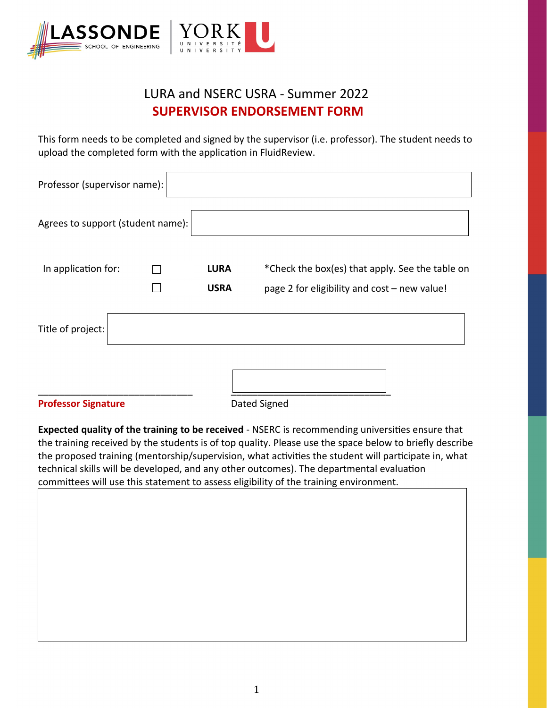

## LURA and NSERC USRA - Summer 2022  **SUPERVISOR ENDORSEMENT FORM**

This form needs to be completed and signed by the supervisor (i.e. professor). The student needs to upload the completed form with the application in FluidReview.

| Professor (supervisor name):      |                            |                                                                                                 |
|-----------------------------------|----------------------------|-------------------------------------------------------------------------------------------------|
| Agrees to support (student name): |                            |                                                                                                 |
| In application for:               | <b>LURA</b><br><b>USRA</b> | *Check the box(es) that apply. See the table on<br>page 2 for eligibility and cost - new value! |
| Title of project:                 |                            |                                                                                                 |
|                                   |                            |                                                                                                 |

**Professor Signature Dated Signed** 

**Expected quality of the training to be received** - NSERC is recommending universities ensure that the training received by the students is of top quality. Please use the space below to briefly describe the proposed training (mentorship/supervision, what activities the student will participate in, what technical skills will be developed, and any other outcomes). The departmental evaluation committees will use this statement to assess eligibility of the training environment.